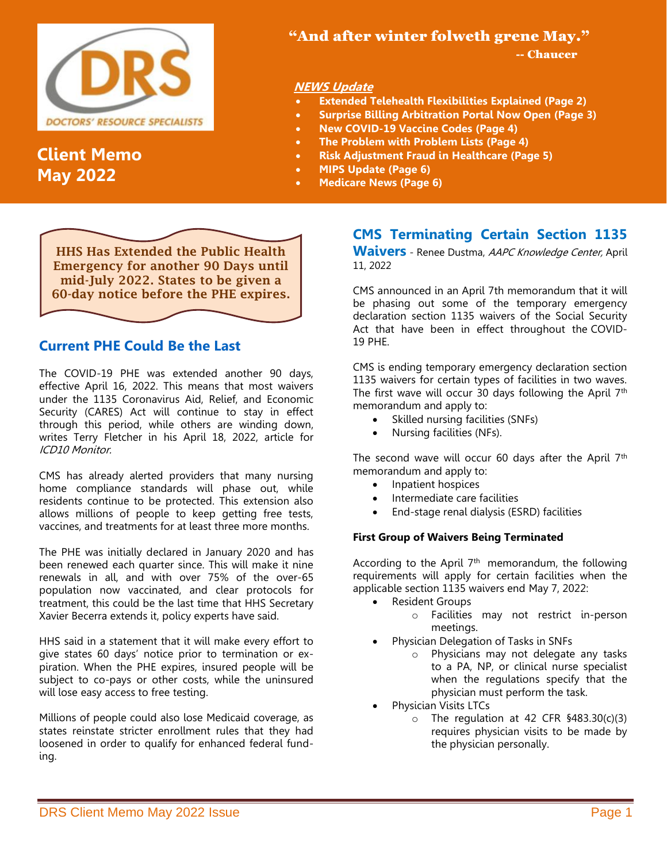

# **Client Memo May 2022**

## "And after winter folweth grene May."

-- Chaucer

### **NEWS Update**

- **Extended Telehealth Flexibilities Explained (Page 2)**
- **Surprise Billing Arbitration Portal Now Open (Page 3)**
- **New COVID-19 Vaccine Codes (Page 4)**
- **The Problem with Problem Lists (Page 4)**
- **Risk Adjustment Fraud in Healthcare (Page 5)**
- **MIPS Update (Page 6)**
- **Medicare News (Page 6)**

HHS Has Extended the Public Health Emergency for another 90 Days until mid-July 2022. States to be given a 60-day notice before the PHE expires.

### **[Current PHE Could Be the Last](https://icd10monitor.com/current-phe-could-be-the-last-heres-why/)**

The COVID-19 PHE was extended another 90 days, effective April 16, 2022. This means that most waivers under the 1135 Coronavirus Aid, Relief, and Economic Security (CARES) Act will continue to stay in effect through this period, while others are winding down, writes Terry Fletcher in his April 18, 2022, article for ICD10 Monitor.

CMS has already alerted providers that many nursing home compliance standards will phase out, while residents continue to be protected. This extension also allows millions of people to keep getting free tests, vaccines, and treatments for at least three more months.

The PHE was initially declared in January 2020 and has been renewed each quarter since. This will make it nine renewals in all, and with over 75% of the over-65 population now vaccinated, and clear protocols for treatment, this could be the last time that HHS Secretary Xavier Becerra extends it, policy experts have said.

HHS said in a statement that it will make every effort to give states 60 days' notice prior to termination or expiration. When the PHE expires, insured people will be subject to co-pays or other costs, while the uninsured will lose easy access to free testing.

Millions of people could also lose Medicaid coverage, as states reinstate stricter enrollment rules that they had loosened in order to qualify for enhanced federal funding.

# **CMS Terminating Certain Section 1135**

**Waivers** - Renee Dustma, AAPC Knowledge Center, April 11, 2022

CMS announced in an April 7th memorandum that it will be phasing out some of the temporary emergency declaration section 1135 waivers of the Social Security Act that have been in effect throughout the [COVID-](https://www.aapc.com/covid-19/)[19](https://www.aapc.com/covid-19/) PHE.

CMS is ending temporary emergency declaration section 1135 waivers for certain types of facilities in two waves. The first wave will occur 30 days following the April 7<sup>th</sup> memorandum and apply to:

- Skilled nursing facilities (SNFs)
- Nursing facilities (NFs).

The second wave will occur 60 days after the April  $7<sup>th</sup>$ memorandum and apply to:

- Inpatient hospices
- Intermediate care facilities
- End-stage renal dialysis (ESRD) facilities

#### **First Group of Waivers Being Terminated**

According to the April  $7<sup>th</sup>$  [memorandum,](https://www.cms.gov/files/document/qso-22-15-nh-nltc-lsc.pdf) the following requirements will apply for certain facilities when the applicable section 1135 waivers end May 7, 2022:

- Resident Groups
	- o Facilities may not restrict in-person meetings.
	- Physician Delegation of Tasks in SNFs
		- o Physicians may not delegate any tasks to a PA, NP, or clinical nurse specialist when the regulations specify that the physician must perform the task.
- Physician Visits LTCs
	- $\circ$  The regulation at 42 CFR §483.30(c)(3) requires physician visits to be made by the physician personally.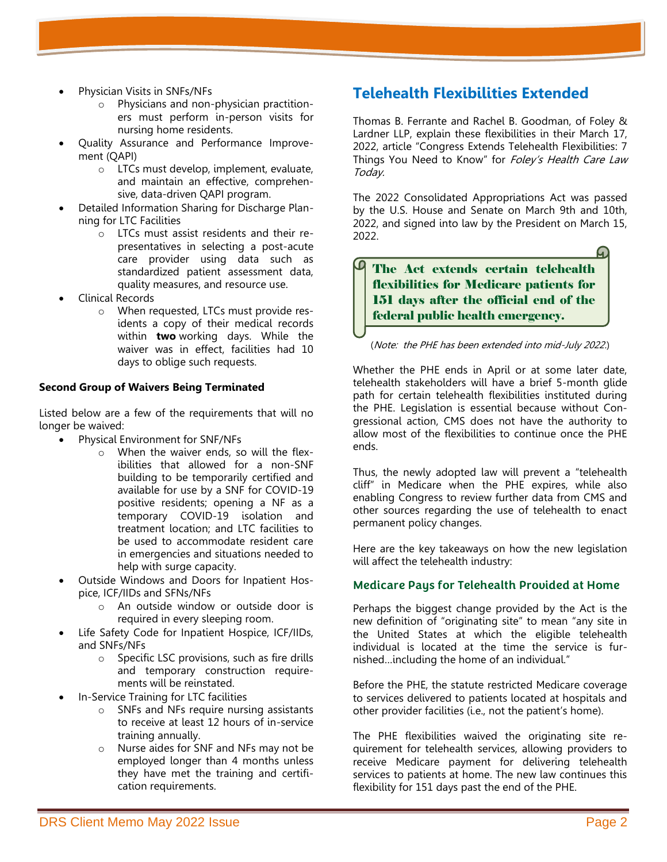- Physician Visits in SNFs/NFs
	- o Physicians and non-physician practitioners must perform in-person visits for nursing home residents.
- Quality Assurance and Performance Improvement (QAPI)
	- o LTCs must develop, implement, evaluate, and maintain an effective, comprehensive, data-driven QAPI program.
- Detailed Information Sharing for Discharge Planning for LTC Facilities
	- o LTCs must assist residents and their representatives in selecting a post-acute care provider using data such as standardized patient assessment data, quality measures, and resource use.
- Clinical Records
	- o When requested, LTCs must provide residents a copy of their medical records within **two** working days. While the waiver was in effect, facilities had 10 days to oblige such requests.

#### **Second Group of Waivers Being Terminated**

Listed below are a few of the requirements that will no longer be waived:

- Physical Environment for SNF/NFs
	- o When the waiver ends, so will the flexibilities that allowed for a non-SNF building to be temporarily certified and available for use by a SNF for COVID-19 positive residents; opening a NF as a temporary COVID-19 isolation and treatment location; and LTC facilities to be used to accommodate resident care in emergencies and situations needed to help with surge capacity.
- Outside Windows and Doors for Inpatient Hospice, ICF/IIDs and SFNs/NFs
	- o An outside window or outside door is required in every sleeping room.
- Life Safety Code for Inpatient Hospice, ICF/IIDs, and SNFs/NFs
	- o Specific LSC provisions, such as fire drills and temporary construction requirements will be reinstated.
- In-Service Training for LTC facilities
	- o SNFs and NFs require nursing assistants to receive at least 12 hours of in-service training annually.
	- o Nurse aides for SNF and NFs may not be employed longer than 4 months unless they have met the training and certification requirements.

# **Telehealth Flexibilities Extended**

Thomas B. Ferrante and Rachel B. Goodman, of Foley & Lardner LLP, explain these flexibilities in their March 17, 2022, article "Congress Extends Telehealth Flexibilities: 7 Things You Need to Know" for Foley's Health Care Law Today.

The 2022 Consolidated Appropriations Act was passed by the U.S. House and Senate on March 9th and 10th, 2022, and signed into law by the President on March 15, 2022.

The Act extends certain telehealth flexibilities for Medicare patients for 151 days after the official end of the federal public health emergency.

#### (Note: the PHE has been extended into mid-July 2022.)

Whether the PHE ends in April or at some later date, telehealth stakeholders will have a brief 5-month glide path for certain telehealth flexibilities instituted during the PHE. Legislation is essential because without Congressional action, CMS does not have the authority to allow most of the flexibilities to continue once the PHE ends.

Thus, the newly adopted law will prevent a "telehealth cliff" in Medicare when the PHE expires, while also enabling Congress to review further data from CMS and other sources regarding the use of telehealth to enact permanent policy changes.

Here are the key takeaways on how the new legislation will affect the telehealth industry:

#### **Medicare Pays for Telehealth Provided at Home**

Perhaps the biggest change provided by the Act is the new definition of "originating site" to mean "any site in the United States at which the eligible telehealth individual is located at the time the service is furnished…including the home of an individual."

Before the PHE, the statute restricted Medicare coverage to services delivered to patients located at hospitals and other provider facilities (i.e., not the patient's home).

The PHE flexibilities waived the originating site requirement for telehealth services, allowing providers to receive Medicare payment for delivering telehealth services to patients at home. The new law continues this flexibility for 151 days past the end of the PHE.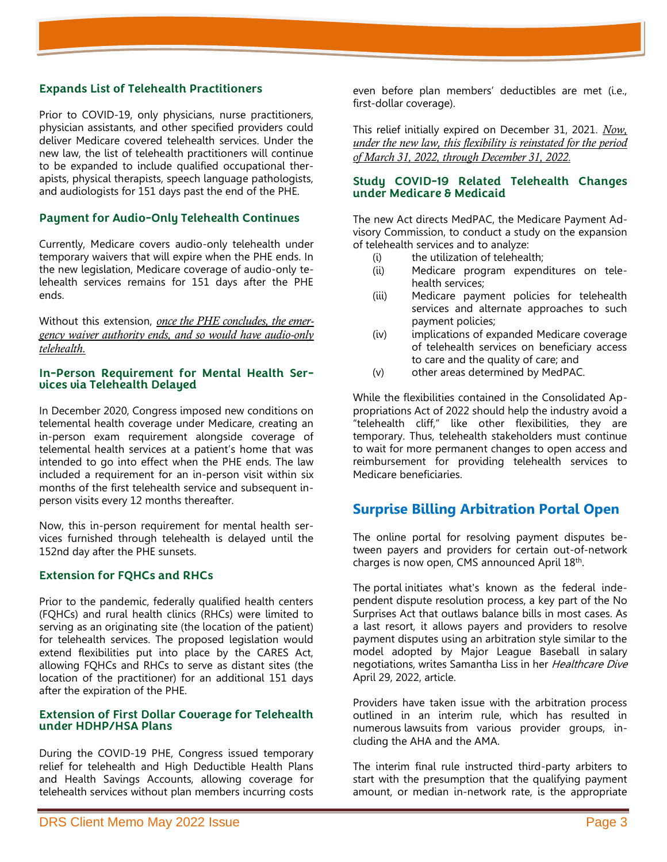#### **Expands List of Telehealth Practitioners**

Prior to COVID-19, only physicians, nurse practitioners, physician assistants, and other specified providers could deliver Medicare covered telehealth services. Under the new law, the list of telehealth practitioners will continue to be expanded to include qualified occupational therapists, physical therapists, speech language pathologists, and audiologists for 151 days past the end of the PHE.

#### **Payment for Audio-Only Telehealth Continues**

Currently, Medicare covers audio-only telehealth under temporary waivers that will expire when the PHE ends. In the new legislation, Medicare coverage of audio-only telehealth services remains for 151 days after the PHE ends.

Without this extension, *once the PHE concludes, the emergency waiver authority ends, and so would have audio-only telehealth.*

#### **In-Person Requirement for Mental Health Services via Telehealth Delayed**

In December 2020, Congress imposed new conditions on telemental health coverage under Medicare, creating an in-person exam requirement alongside coverage of telemental health services at a patient's home that was intended to go into effect when the PHE ends. The law included a requirement for an in-person visit within six months of the first telehealth service and subsequent inperson visits every 12 months thereafter.

Now, this in-person requirement for mental health services furnished through telehealth is delayed until the 152nd day after the PHE sunsets.

#### **Extension for FQHCs and RHCs**

Prior to the pandemic, federally qualified health centers (FQHCs) and rural health clinics (RHCs) were limited to serving as an originating site (the location of the patient) for telehealth services. The proposed legislation would extend flexibilities put into place by the CARES Act, allowing FQHCs and RHCs to serve as distant sites (the location of the practitioner) for an additional 151 days after the expiration of the PHE.

#### **Extension of First Dollar Coverage for Telehealth under HDHP/HSA Plans**

During the COVID-19 PHE, Congress issued temporary relief for telehealth and High Deductible Health Plans and Health Savings Accounts, allowing coverage for telehealth services without plan members incurring costs

even before plan members' deductibles are met (i.e., first-dollar coverage).

This relief initially expired on December 31, 2021. *Now, under the new law, this flexibility is reinstated for the period of March 31, 2022, through December 31, 2022*.

#### **Study COVID-19 Related Telehealth Changes under Medicare & Medicaid**

The new Act directs MedPAC, the Medicare Payment Advisory Commission, to conduct a study on the expansion of telehealth services and to analyze:

- (i) the utilization of telehealth;
- (ii) Medicare program expenditures on telehealth services;
- (iii) Medicare payment policies for telehealth services and alternate approaches to such payment policies;
- (iv) implications of expanded Medicare coverage of telehealth services on beneficiary access to care and the quality of care; and
- (v) other areas determined by MedPAC.

While the flexibilities contained in the Consolidated Appropriations Act of 2022 should help the industry avoid a "telehealth cliff," like other flexibilities, they are temporary. Thus, telehealth stakeholders must continue to wait for more permanent changes to open access and reimbursement for providing telehealth services to Medicare beneficiaries.

### **Surprise Billing Arbitration Portal Open**

The online portal for resolving payment disputes between payers and providers for certain out-of-network charges is now open, CMS announced April 18th .

The [portal](https://nsa-idr.cms.gov/paymentdisputes/s/) initiates what's known as the federal independent dispute resolution process, a key part of the No Surprises Act that outlaws balance bills in most cases. As a last resort, it allows payers and providers to resolve payment disputes using an arbitration style similar to the model adopted by Major League Baseball in salary negotiations, writes Samantha Liss in her Healthcare Dive April 29, 2022, article.

Providers have taken issue with the arbitration process outlined in an interim rule, which has resulted in numerous [lawsuits](https://www.healthcaredive.com/news/hospitals-sue-over-surprise-billing-ban-why/617543/) from various provider groups, including the AHA and the AMA.

The interim final rule instructed third-party arbiters to start with the presumption that the qualifying payment amount, or median in-network rate, is the appropriate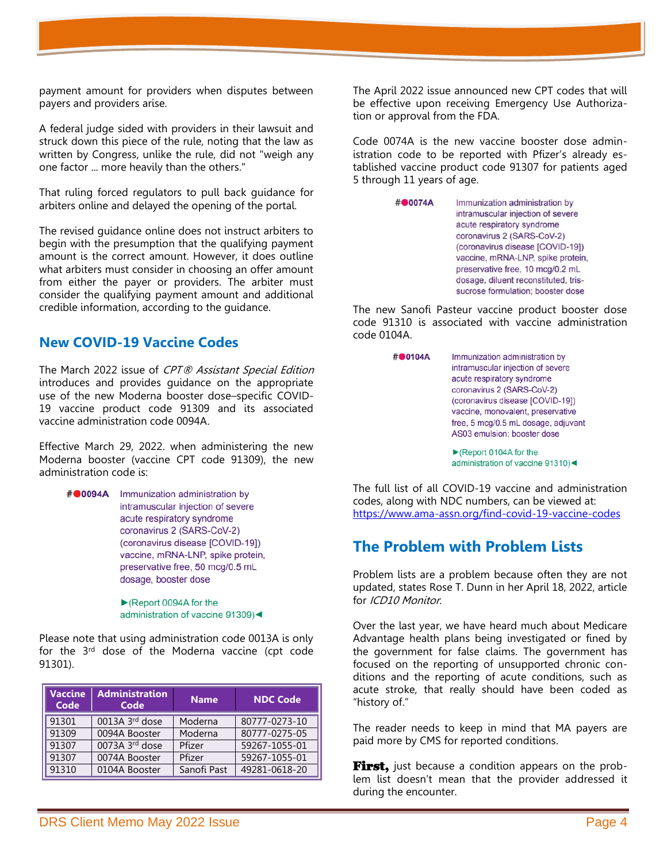payment amount for providers when disputes between payers and providers arise.

A federal judge sided with providers in their lawsuit and struck down this piece of the rule, noting that the law as written by Congress, unlike the rule, did not "weigh any one factor ... more heavily than the others."

That ruling forced regulators to pull back guidance for arbiters online and delayed the opening of the portal.

The revised guidance online does not instruct arbiters to begin with the presumption that the qualifying payment amount is the correct amount. However, it does outline what arbiters must consider in choosing an offer amount from either the payer or providers. The arbiter must consider the qualifying payment amount and additional credible information, according to the guidance.

### **New COVID-19 Vaccine Codes**

The March 2022 issue of CPT® Assistant Special Edition introduces and provides guidance on the appropriate use of the new Moderna booster dose–specific COVID-19 vaccine product code 91309 and its associated vaccine administration code 0094A.

Effective March 29, 2022. when administering the new Moderna booster (vaccine CPT code 91309), the new administration code is:

#00094A Immunization administration by intramuscular injection of severe acute respiratory syndrome coronavirus 2 (SARS-CoV-2) (coronavirus disease [COVID-19]) vaccine, mRNA-LNP, spike protein, preservative free, 50 mcg/0.5 mL dosage, booster dose

> $\blacktriangleright$  (Report 0094A for the administration of vaccine 91309)<

Please note that using administration code 0013A is only for the 3<sup>rd</sup> dose of the Moderna vaccine (cpt code 91301).

| <b>Vaccine</b><br>Code | <b>Administration</b><br>Code | <b>Name</b> | <b>NDC Code</b> |
|------------------------|-------------------------------|-------------|-----------------|
| 91301                  | $0013A$ 3 <sup>rd</sup> dose  | Moderna     | 80777-0273-10   |
| 91309                  | 0094A Booster                 | Moderna     | 80777-0275-05   |
| 91307                  | $0073A$ 3 <sup>rd</sup> dose  | Pfizer      | 59267-1055-01   |
| 91307                  | 0074A Booster                 | Pfizer      | 59267-1055-01   |
| 91310                  | 0104A Booster                 | Sanofi Past | 49281-0618-20   |

The April 2022 issue announced new CPT codes that will be effective upon receiving Emergency Use Authorization or approval from the FDA.

Code 0074A is the new vaccine booster dose administration code to be reported with Pfizer's already established vaccine product code 91307 for patients aged 5 through 11 years of age.

> #00074A Immunization administration by intramuscular injection of severe acute respiratory syndrome coronavirus 2 (SARS-CoV-2) (coronavirus disease [COVID-19]) vaccine, mRNA-LNP, spike protein, preservative free, 10 mcg/0.2 mL dosage, diluent reconstituted, trissucrose formulation; booster dose

The new Sanofi Pasteur vaccine product booster dose code 91310 is associated with vaccine administration code 0104A.

> #00104A Immunization administration by intramuscular injection of severe acute respiratory syndrome coronavirus 2 (SARS-CoV-2) (coronavirus disease [COVID-19]) vaccine, monovalent, preservative free, 5 mcg/0.5 mL dosage, adjuvant AS03 emulsion; booster dose

> > $\blacktriangleright$  (Report 0104A for the administration of vaccine 91310)<

The full list of all COVID-19 vaccine and administration codes, along with NDC numbers, can be viewed at: <https://www.ama-assn.org/find-covid-19-vaccine-codes>

# **[The Problem with Problem Lists](https://icd10monitor.com/the-problem-with-problem-lists/)**

Problem lists are a problem because often they are not updated, states Rose T. Dunn in her April 18, 2022, article for *ICD10 Monitor*.

Over the last year, we have heard much about Medicare Advantage health plans being investigated or fined by the government for false claims. The government has focused on the reporting of unsupported chronic conditions and the reporting of acute conditions, such as acute stroke, that really should have been coded as "history of."

The reader needs to keep in mind that MA payers are paid more by CMS for reported conditions.

First, just because a condition appears on the problem list doesn't mean that the provider addressed it during the encounter.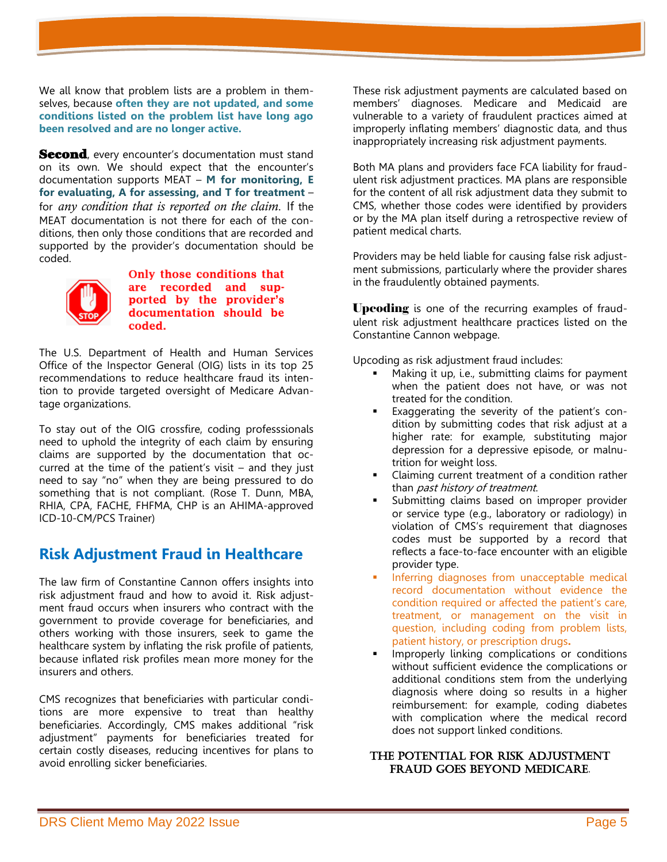We all know that problem lists are a problem in themselves, because **often they are not updated, and some conditions listed on the problem list have long ago been resolved and are no longer active.**

Second, every encounter's documentation must stand on its own. We should expect that the encounter's documentation supports MEAT – **M for monitoring, E for evaluating, A for assessing, and T for treatment** – for *any condition that is reported on the claim*. If the MEAT documentation is not there for each of the conditions, then only those conditions that are recorded and supported by the provider's documentation should be coded.



Only those conditions that are recorded and supported by the provider's documentation should be coded.

The U.S. Department of Health and Human Services Office of the Inspector General (OIG) lists in its top 25 recommendations to reduce healthcare fraud its intention to provide targeted oversight of Medicare Advantage organizations.

To stay out of the OIG crossfire, coding professsionals need to uphold the integrity of each claim by ensuring claims are supported by the documentation that occurred at the time of the patient's visit  $-$  and they just need to say "no" when they are being pressured to do something that is not compliant. (Rose T. Dunn, MBA, RHIA, CPA, FACHE, FHFMA, CHP is an AHIMA-approved ICD-10-CM/PCS Trainer)

# **Risk Adjustment Fraud in Healthcare**

The law firm of Constantine Cannon offers insights into risk adjustment fraud and how to avoid it. Risk adjustment fraud occurs when insurers who contract with the government to provide coverage for beneficiaries, and others working with those insurers, seek to game the healthcare system by inflating the risk profile of patients, because inflated risk profiles mean more money for the insurers and others.

CMS recognizes that beneficiaries with particular conditions are more expensive to treat than healthy beneficiaries. Accordingly, CMS makes additional "risk adjustment" payments for beneficiaries treated for certain costly diseases, reducing incentives for plans to avoid enrolling sicker beneficiaries.

These risk adjustment payments are calculated based on members' diagnoses. Medicare and Medicaid are vulnerable to a variety of fraudulent practices aimed at improperly inflating members' diagnostic data, and thus inappropriately increasing risk adjustment payments.

Both MA plans and providers face FCA liability for fraudulent risk adjustment practices. MA plans are responsible for the content of all risk adjustment data they submit to CMS, whether those codes were identified by providers or by the MA plan itself during a retrospective review of patient medical charts.

[Providers](https://constantinecannon.com/practice/whistleblower/whistleblower-types/healthcare-fraud/provider-fraud/) may be held liable for causing false risk adjustment submissions, particularly where the provider shares in the fraudulently obtained payments.

**Upcoding** is one of the recurring examples of fraudulent risk adjustment healthcare practices listed on the Constantine Cannon webpage.

Upcoding as risk adjustment fraud includes:

- Making it up, i.e., submitting claims for payment when the patient does not have, or was not treated for the condition.
- Exaggerating the severity of the patient's condition by submitting codes that risk adjust at a higher rate: for example, substituting major depression for a depressive episode, or malnutrition for weight loss.
- Claiming current treatment of a condition rather than *past history of treatment*.
- Submitting claims based on improper provider or service type (e.g., laboratory or radiology) in violation of CMS's requirement that diagnoses codes must be supported by a record that reflects a face-to-face encounter with an eligible provider type.
- Inferring diagnoses from unacceptable medical record documentation without evidence the condition required or affected the patient's care, treatment, or management on the visit in question, including coding from problem lists, patient history, or prescription drugs**.**
- Improperly linking complications or conditions without sufficient evidence the complications or additional conditions stem from the underlying diagnosis where doing so results in a higher reimbursement: for example, coding diabetes with complication where the medical record does not support linked conditions.

#### The potential for risk adjustment fraud goes beyond Medicare.